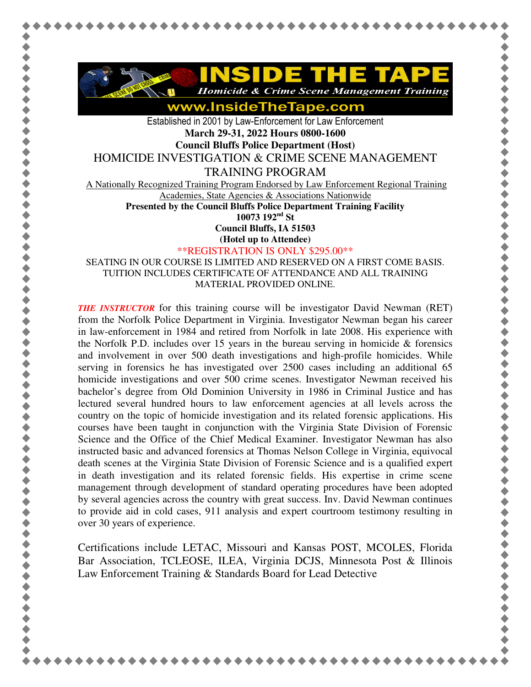

www.InsideTheTape.com

Established in 2001 by Law-Enforcement for Law Enforcement **March 29-31, 2022 Hours 0800-1600 Council Bluffs Police Department (Host)** 

HOMICIDE INVESTIGATION & CRIME SCENE MANAGEMENT

TRAINING PROGRAM

A Nationally Recognized Training Program Endorsed by Law Enforcement Regional Training

Academies, State Agencies & Associations Nationwide

**Presented by the Council Bluffs Police Department Training Facility 10073 192nd St** 

**Council Bluffs, IA 51503 (Hotel up to Attendee)**

\*\*REGISTRATION IS ONLY \$295.00\*\*

SEATING IN OUR COURSE IS LIMITED AND RESERVED ON A FIRST COME BASIS. TUITION INCLUDES CERTIFICATE OF ATTENDANCE AND ALL TRAINING MATERIAL PROVIDED ONLINE.

*THE INSTRUCTOR* for this training course will be investigator David Newman (RET) from the Norfolk Police Department in Virginia. Investigator Newman began his career in law-enforcement in 1984 and retired from Norfolk in late 2008. His experience with the Norfolk P.D. includes over 15 years in the bureau serving in homicide  $\&$  forensics and involvement in over 500 death investigations and high-profile homicides. While serving in forensics he has investigated over 2500 cases including an additional 65 homicide investigations and over 500 crime scenes. Investigator Newman received his bachelor's degree from Old Dominion University in 1986 in Criminal Justice and has lectured several hundred hours to law enforcement agencies at all levels across the country on the topic of homicide investigation and its related forensic applications. His courses have been taught in conjunction with the Virginia State Division of Forensic Science and the Office of the Chief Medical Examiner. Investigator Newman has also instructed basic and advanced forensics at Thomas Nelson College in Virginia, equivocal death scenes at the Virginia State Division of Forensic Science and is a qualified expert in death investigation and its related forensic fields. His expertise in crime scene management through development of standard operating procedures have been adopted by several agencies across the country with great success. Inv. David Newman continues to provide aid in cold cases, 911 analysis and expert courtroom testimony resulting in over 30 years of experience.

Certifications include LETAC, Missouri and Kansas POST, MCOLES, Florida Bar Association, TCLEOSE, ILEA, Virginia DCJS, Minnesota Post & Illinois Law Enforcement Training & Standards Board for Lead Detective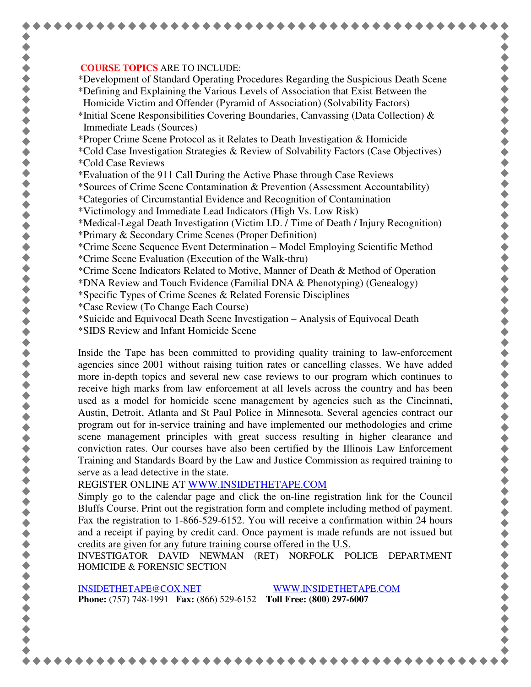## **COURSE TOPICS** ARE TO INCLUDE:

\*Development of Standard Operating Procedures Regarding the Suspicious Death Scene \*Defining and Explaining the Various Levels of Association that Exist Between the Homicide Victim and Offender (Pyramid of Association) (Solvability Factors)

- \*Initial Scene Responsibilities Covering Boundaries, Canvassing (Data Collection)  $\&$ Immediate Leads (Sources)
- \*Proper Crime Scene Protocol as it Relates to Death Investigation & Homicide
- \*Cold Case Investigation Strategies & Review of Solvability Factors (Case Objectives) \*Cold Case Reviews
- \*Evaluation of the 911 Call During the Active Phase through Case Reviews

\*Sources of Crime Scene Contamination & Prevention (Assessment Accountability)

- \*Categories of Circumstantial Evidence and Recognition of Contamination
- \*Victimology and Immediate Lead Indicators (High Vs. Low Risk)

\*Medical-Legal Death Investigation (Victim I.D. / Time of Death / Injury Recognition)

- \*Primary & Secondary Crime Scenes (Proper Definition)
- \*Crime Scene Sequence Event Determination Model Employing Scientific Method \*Crime Scene Evaluation (Execution of the Walk-thru)
- \*Crime Scene Indicators Related to Motive, Manner of Death & Method of Operation
- \*DNA Review and Touch Evidence (Familial DNA & Phenotyping) (Genealogy)
- \*Specific Types of Crime Scenes & Related Forensic Disciplines
- \*Case Review (To Change Each Course)
- \*Suicide and Equivocal Death Scene Investigation Analysis of Equivocal Death
- \*SIDS Review and Infant Homicide Scene

Inside the Tape has been committed to providing quality training to law-enforcement agencies since 2001 without raising tuition rates or cancelling classes. We have added more in-depth topics and several new case reviews to our program which continues to receive high marks from law enforcement at all levels across the country and has been used as a model for homicide scene management by agencies such as the Cincinnati, Austin, Detroit, Atlanta and St Paul Police in Minnesota. Several agencies contract our program out for in-service training and have implemented our methodologies and crime scene management principles with great success resulting in higher clearance and conviction rates. Our courses have also been certified by the Illinois Law Enforcement Training and Standards Board by the Law and Justice Commission as required training to serve as a lead detective in the state.

REGISTER ONLINE AT WWW.INSIDETHETAPE.COM

Simply go to the calendar page and click the on-line registration link for the Council Bluffs Course. Print out the registration form and complete including method of payment. Fax the registration to 1-866-529-6152. You will receive a confirmation within 24 hours and a receipt if paying by credit card. Once payment is made refunds are not issued but credits are given for any future training course offered in the U.S.

INVESTIGATOR DAVID NEWMAN (RET) NORFOLK POLICE DEPARTMENT HOMICIDE & FORENSIC SECTION

INSIDETHETAPE@COX.NET WWW.INSIDETHETAPE.COM **Phone:** (757) 748-1991 **Fax:** (866) 529-6152 **Toll Free: (800) 297-6007**